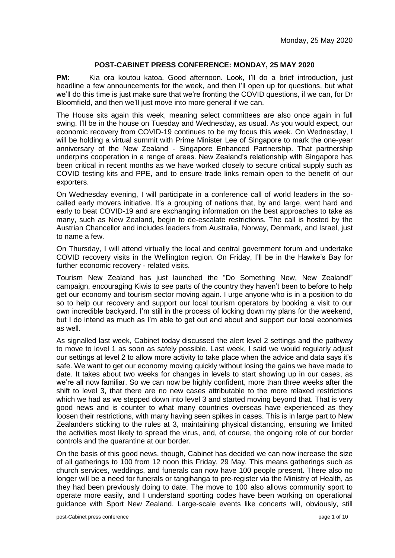## **POST-CABINET PRESS CONFERENCE: MONDAY, 25 MAY 2020**

**PM:** Kia ora koutou katoa. Good afternoon. Look, I'll do a brief introduction, just headline a few announcements for the week, and then I'll open up for questions, but what we'll do this time is just make sure that we're fronting the COVID questions, if we can, for Dr Bloomfield, and then we'll just move into more general if we can.

The House sits again this week, meaning select committees are also once again in full swing. I'll be in the house on Tuesday and Wednesday, as usual. As you would expect, our economic recovery from COVID-19 continues to be my focus this week. On Wednesday, I will be holding a virtual summit with Prime Minister Lee of Singapore to mark the one-year anniversary of the New Zealand - Singapore Enhanced Partnership. That partnership underpins cooperation in a range of areas. New Zealand's relationship with Singapore has been critical in recent months as we have worked closely to secure critical supply such as COVID testing kits and PPE, and to ensure trade links remain open to the benefit of our exporters.

On Wednesday evening, I will participate in a conference call of world leaders in the socalled early movers initiative. It's a grouping of nations that, by and large, went hard and early to beat COVID-19 and are exchanging information on the best approaches to take as many, such as New Zealand, begin to de-escalate restrictions. The call is hosted by the Austrian Chancellor and includes leaders from Australia, Norway, Denmark, and Israel, just to name a few.

On Thursday, I will attend virtually the local and central government forum and undertake COVID recovery visits in the Wellington region. On Friday, I'll be in the Hawke's Bay for further economic recovery - related visits.

Tourism New Zealand has just launched the "Do Something New, New Zealand!" campaign, encouraging Kiwis to see parts of the country they haven't been to before to help get our economy and tourism sector moving again. I urge anyone who is in a position to do so to help our recovery and support our local tourism operators by booking a visit to our own incredible backyard. I'm still in the process of locking down my plans for the weekend, but I do intend as much as I'm able to get out and about and support our local economies as well.

As signalled last week, Cabinet today discussed the alert level 2 settings and the pathway to move to level 1 as soon as safely possible. Last week, I said we would regularly adjust our settings at level 2 to allow more activity to take place when the advice and data says it's safe. We want to get our economy moving quickly without losing the gains we have made to date. It takes about two weeks for changes in levels to start showing up in our cases, as we're all now familiar. So we can now be highly confident, more than three weeks after the shift to level 3, that there are no new cases attributable to the more relaxed restrictions which we had as we stepped down into level 3 and started moving beyond that. That is very good news and is counter to what many countries overseas have experienced as they loosen their restrictions, with many having seen spikes in cases. This is in large part to New Zealanders sticking to the rules at 3, maintaining physical distancing, ensuring we limited the activities most likely to spread the virus, and, of course, the ongoing role of our border controls and the quarantine at our border.

On the basis of this good news, though, Cabinet has decided we can now increase the size of all gatherings to 100 from 12 noon this Friday, 29 May. This means gatherings such as church services, weddings, and funerals can now have 100 people present. There also no longer will be a need for funerals or tangihanga to pre-register via the Ministry of Health, as they had been previously doing to date. The move to 100 also allows community sport to operate more easily, and I understand sporting codes have been working on operational guidance with Sport New Zealand. Large-scale events like concerts will, obviously, still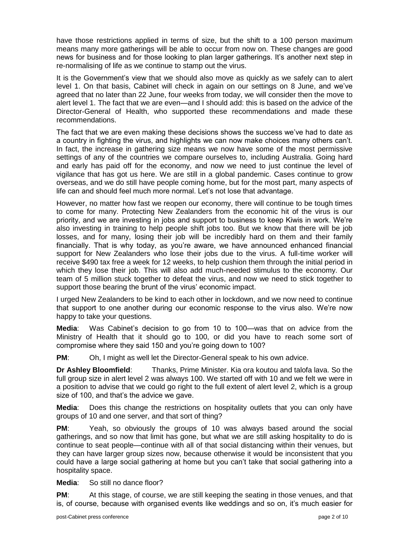have those restrictions applied in terms of size, but the shift to a 100 person maximum means many more gatherings will be able to occur from now on. These changes are good news for business and for those looking to plan larger gatherings. It's another next step in re-normalising of life as we continue to stamp out the virus.

It is the Government's view that we should also move as quickly as we safely can to alert level 1. On that basis, Cabinet will check in again on our settings on 8 June, and we've agreed that no later than 22 June, four weeks from today, we will consider then the move to alert level 1. The fact that we are even—and I should add: this is based on the advice of the Director-General of Health, who supported these recommendations and made these recommendations.

The fact that we are even making these decisions shows the success we've had to date as a country in fighting the virus, and highlights we can now make choices many others can't. In fact, the increase in gathering size means we now have some of the most permissive settings of any of the countries we compare ourselves to, including Australia. Going hard and early has paid off for the economy, and now we need to just continue the level of vigilance that has got us here. We are still in a global pandemic. Cases continue to grow overseas, and we do still have people coming home, but for the most part, many aspects of life can and should feel much more normal. Let's not lose that advantage.

However, no matter how fast we reopen our economy, there will continue to be tough times to come for many. Protecting New Zealanders from the economic hit of the virus is our priority, and we are investing in jobs and support to business to keep Kiwis in work. We're also investing in training to help people shift jobs too. But we know that there will be job losses, and for many, losing their job will be incredibly hard on them and their family financially. That is why today, as you're aware, we have announced enhanced financial support for New Zealanders who lose their jobs due to the virus. A full-time worker will receive \$490 tax free a week for 12 weeks, to help cushion them through the initial period in which they lose their job. This will also add much-needed stimulus to the economy. Our team of 5 million stuck together to defeat the virus, and now we need to stick together to support those bearing the brunt of the virus' economic impact.

I urged New Zealanders to be kind to each other in lockdown, and we now need to continue that support to one another during our economic response to the virus also. We're now happy to take your questions.

**Media**: Was Cabinet's decision to go from 10 to 100—was that on advice from the Ministry of Health that it should go to 100, or did you have to reach some sort of compromise where they said 150 and you're going down to 100?

**PM**: Oh, I might as well let the Director-General speak to his own advice.

**Dr Ashley Bloomfield**: Thanks, Prime Minister. Kia ora koutou and talofa lava. So the full group size in alert level 2 was always 100. We started off with 10 and we felt we were in a position to advise that we could go right to the full extent of alert level 2, which is a group size of 100, and that's the advice we gave.

**Media**: Does this change the restrictions on hospitality outlets that you can only have groups of 10 and one server, and that sort of thing?

**PM:** Yeah, so obviously the groups of 10 was always based around the social gatherings, and so now that limit has gone, but what we are still asking hospitality to do is continue to seat people—continue with all of that social distancing within their venues, but they can have larger group sizes now, because otherwise it would be inconsistent that you could have a large social gathering at home but you can't take that social gathering into a hospitality space.

**Media**: So still no dance floor?

**PM:** At this stage, of course, we are still keeping the seating in those venues, and that is, of course, because with organised events like weddings and so on, it's much easier for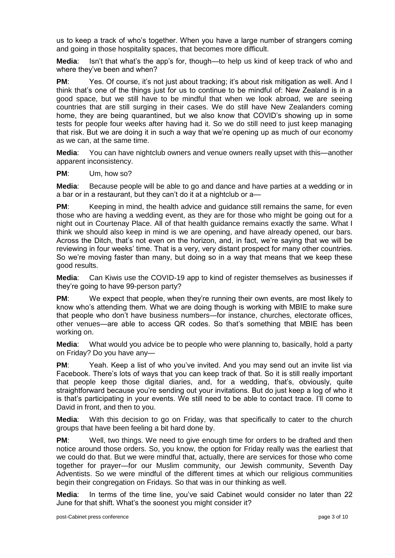us to keep a track of who's together. When you have a large number of strangers coming and going in those hospitality spaces, that becomes more difficult.

**Media**: Isn't that what's the app's for, though—to help us kind of keep track of who and where they've been and when?

**PM:** Yes. Of course, it's not just about tracking; it's about risk mitigation as well. And I think that's one of the things just for us to continue to be mindful of: New Zealand is in a good space, but we still have to be mindful that when we look abroad, we are seeing countries that are still surging in their cases. We do still have New Zealanders coming home, they are being quarantined, but we also know that COVID's showing up in some tests for people four weeks after having had it. So we do still need to just keep managing that risk. But we are doing it in such a way that we're opening up as much of our economy as we can, at the same time.

**Media**: You can have nightclub owners and venue owners really upset with this—another apparent inconsistency.

**PM**: Um, how so?

**Media**: Because people will be able to go and dance and have parties at a wedding or in a bar or in a restaurant, but they can't do it at a nightclub or a—

**PM:** Keeping in mind, the health advice and quidance still remains the same, for even those who are having a wedding event, as they are for those who might be going out for a night out in Courtenay Place. All of that health guidance remains exactly the same. What I think we should also keep in mind is we are opening, and have already opened, our bars. Across the Ditch, that's not even on the horizon, and, in fact, we're saying that we will be reviewing in four weeks' time. That is a very, very distant prospect for many other countries. So we're moving faster than many, but doing so in a way that means that we keep these good results.

**Media**: Can Kiwis use the COVID-19 app to kind of register themselves as businesses if they're going to have 99-person party?

**PM:** We expect that people, when they're running their own events, are most likely to know who's attending them. What we are doing though is working with MBIE to make sure that people who don't have business numbers—for instance, churches, electorate offices, other venues—are able to access QR codes. So that's something that MBIE has been working on.

**Media**: What would you advice be to people who were planning to, basically, hold a party on Friday? Do you have any—

**PM**: Yeah. Keep a list of who you've invited. And you may send out an invite list via Facebook. There's lots of ways that you can keep track of that. So it is still really important that people keep those digital diaries, and, for a wedding, that's, obviously, quite straightforward because you're sending out your invitations. But do just keep a log of who it is that's participating in your events. We still need to be able to contact trace. I'll come to David in front, and then to you.

**Media**: With this decision to go on Friday, was that specifically to cater to the church groups that have been feeling a bit hard done by.

**PM:** Well, two things. We need to give enough time for orders to be drafted and then notice around those orders. So, you know, the option for Friday really was the earliest that we could do that. But we were mindful that, actually, there are services for those who come together for prayer—for our Muslim community, our Jewish community, Seventh Day Adventists. So we were mindful of the different times at which our religious communities begin their congregation on Fridays. So that was in our thinking as well.

**Media**: In terms of the time line, you've said Cabinet would consider no later than 22 June for that shift. What's the soonest you might consider it?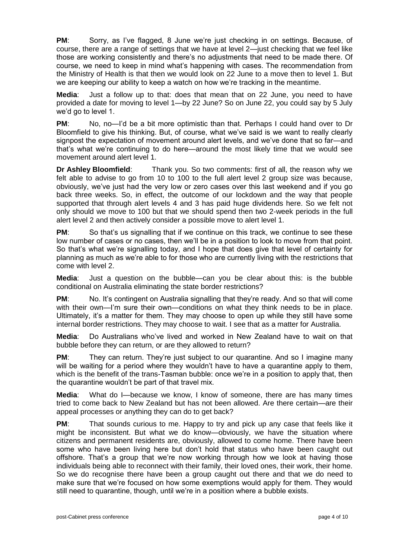**PM**: Sorry, as I've flagged, 8 June we're just checking in on settings. Because, of course, there are a range of settings that we have at level 2—just checking that we feel like those are working consistently and there's no adjustments that need to be made there. Of course, we need to keep in mind what's happening with cases. The recommendation from the Ministry of Health is that then we would look on 22 June to a move then to level 1. But we are keeping our ability to keep a watch on how we're tracking in the meantime.

**Media**: Just a follow up to that: does that mean that on 22 June, you need to have provided a date for moving to level 1—by 22 June? So on June 22, you could say by 5 July we'd go to level 1.

**PM**: No, no—I'd be a bit more optimistic than that. Perhaps I could hand over to Dr Bloomfield to give his thinking. But, of course, what we've said is we want to really clearly signpost the expectation of movement around alert levels, and we've done that so far—and that's what we're continuing to do here—around the most likely time that we would see movement around alert level 1.

**Dr Ashley Bloomfield**: Thank you. So two comments: first of all, the reason why we felt able to advise to go from 10 to 100 to the full alert level 2 group size was because, obviously, we've just had the very low or zero cases over this last weekend and if you go back three weeks. So, in effect, the outcome of our lockdown and the way that people supported that through alert levels 4 and 3 has paid huge dividends here. So we felt not only should we move to 100 but that we should spend then two 2-week periods in the full alert level 2 and then actively consider a possible move to alert level 1.

**PM:** So that's us signalling that if we continue on this track, we continue to see these low number of cases or no cases, then we'll be in a position to look to move from that point. So that's what we're signalling today, and I hope that does give that level of certainty for planning as much as we're able to for those who are currently living with the restrictions that come with level 2.

**Media**: Just a question on the bubble—can you be clear about this: is the bubble conditional on Australia eliminating the state border restrictions?

**PM**: No. It's contingent on Australia signalling that they're ready. And so that will come with their own—I'm sure their own—conditions on what they think needs to be in place. Ultimately, it's a matter for them. They may choose to open up while they still have some internal border restrictions. They may choose to wait. I see that as a matter for Australia.

**Media**: Do Australians who've lived and worked in New Zealand have to wait on that bubble before they can return, or are they allowed to return?

**PM:** They can return. They're just subject to our quarantine. And so I imagine many will be waiting for a period where they wouldn't have to have a quarantine apply to them, which is the benefit of the trans-Tasman bubble: once we're in a position to apply that, then the quarantine wouldn't be part of that travel mix.

**Media**: What do I—because we know, I know of someone, there are has many times tried to come back to New Zealand but has not been allowed. Are there certain—are their appeal processes or anything they can do to get back?

**PM:** That sounds curious to me. Happy to try and pick up any case that feels like it might be inconsistent. But what we do know—obviously, we have the situation where citizens and permanent residents are, obviously, allowed to come home. There have been some who have been living here but don't hold that status who have been caught out offshore. That's a group that we're now working through how we look at having those individuals being able to reconnect with their family, their loved ones, their work, their home. So we do recognise there have been a group caught out there and that we do need to make sure that we're focused on how some exemptions would apply for them. They would still need to quarantine, though, until we're in a position where a bubble exists.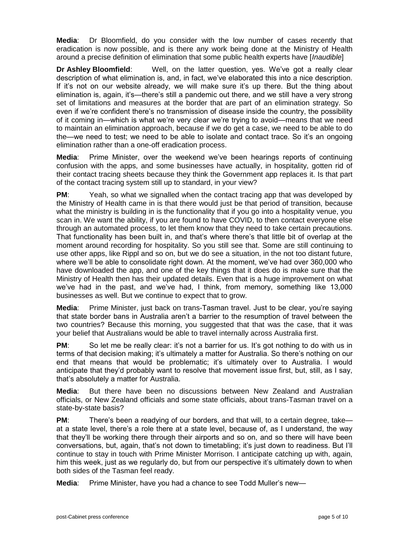**Media**: Dr Bloomfield, do you consider with the low number of cases recently that eradication is now possible, and is there any work being done at the Ministry of Health around a precise definition of elimination that some public health experts have [*Inaudible*]

**Dr Ashley Bloomfield**: Well, on the latter question, yes. We've got a really clear description of what elimination is, and, in fact, we've elaborated this into a nice description. If it's not on our website already, we will make sure it's up there. But the thing about elimination is, again, it's—there's still a pandemic out there, and we still have a very strong set of limitations and measures at the border that are part of an elimination strategy. So even if we're confident there's no transmission of disease inside the country, the possibility of it coming in—which is what we're very clear we're trying to avoid—means that we need to maintain an elimination approach, because if we do get a case, we need to be able to do the—we need to test; we need to be able to isolate and contact trace. So it's an ongoing elimination rather than a one-off eradication process.

**Media**: Prime Minister, over the weekend we've been hearings reports of continuing confusion with the apps, and some businesses have actually, in hospitality, gotten rid of their contact tracing sheets because they think the Government app replaces it. Is that part of the contact tracing system still up to standard, in your view?

**PM**: Yeah, so what we signalled when the contact tracing app that was developed by the Ministry of Health came in is that there would just be that period of transition, because what the ministry is building in is the functionality that if you go into a hospitality venue, you scan in. We want the ability, if you are found to have COVID, to then contact everyone else through an automated process, to let them know that they need to take certain precautions. That functionality has been built in, and that's where there's that little bit of overlap at the moment around recording for hospitality. So you still see that. Some are still continuing to use other apps, like Rippl and so on, but we do see a situation, in the not too distant future, where we'll be able to consolidate right down. At the moment, we've had over 360,000 who have downloaded the app, and one of the key things that it does do is make sure that the Ministry of Health then has their updated details. Even that is a huge improvement on what we've had in the past, and we've had, I think, from memory, something like 13,000 businesses as well. But we continue to expect that to grow.

**Media**: Prime Minister, just back on trans-Tasman travel. Just to be clear, you're saying that state border bans in Australia aren't a barrier to the resumption of travel between the two countries? Because this morning, you suggested that that was the case, that it was your belief that Australians would be able to travel internally across Australia first.

**PM:** So let me be really clear: it's not a barrier for us. It's got nothing to do with us in terms of that decision making; it's ultimately a matter for Australia. So there's nothing on our end that means that would be problematic; it's ultimately over to Australia. I would anticipate that they'd probably want to resolve that movement issue first, but, still, as I say, that's absolutely a matter for Australia.

**Media**: But there have been no discussions between New Zealand and Australian officials, or New Zealand officials and some state officials, about trans-Tasman travel on a state-by-state basis?

**PM:** There's been a readying of our borders, and that will, to a certain degree, take at a state level, there's a role there at a state level, because of, as I understand, the way that they'll be working there through their airports and so on, and so there will have been conversations, but, again, that's not down to timetabling; it's just down to readiness. But I'll continue to stay in touch with Prime Minister Morrison. I anticipate catching up with, again, him this week, just as we regularly do, but from our perspective it's ultimately down to when both sides of the Tasman feel ready.

**Media**: Prime Minister, have you had a chance to see Todd Muller's new—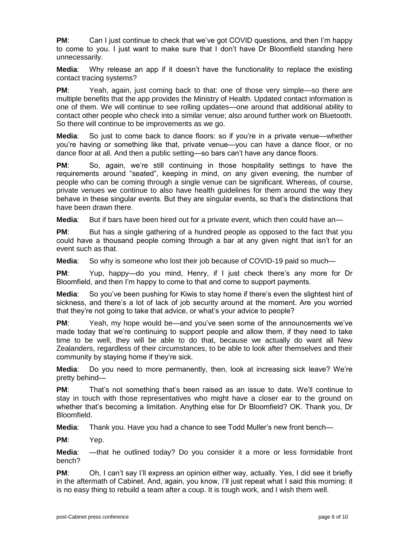**PM:** Can I just continue to check that we've got COVID questions, and then I'm happy to come to you. I just want to make sure that I don't have Dr Bloomfield standing here unnecessarily.

**Media**: Why release an app if it doesn't have the functionality to replace the existing contact tracing systems?

**PM:** Yeah, again, just coming back to that: one of those very simple—so there are multiple benefits that the app provides the Ministry of Health. Updated contact information is one of them. We will continue to see rolling updates—one around that additional ability to contact other people who check into a similar venue; also around further work on Bluetooth. So there will continue to be improvements as we go.

**Media**: So just to come back to dance floors: so if you're in a private venue—whether you're having or something like that, private venue—you can have a dance floor, or no dance floor at all. And then a public setting—so bars can't have any dance floors.

**PM**: So, again, we're still continuing in those hospitality settings to have the requirements around "seated", keeping in mind, on any given evening, the number of people who can be coming through a single venue can be significant. Whereas, of course, private venues we continue to also have health guidelines for them around the way they behave in these singular events. But they are singular events, so that's the distinctions that have been drawn there.

**Media:** But if bars have been hired out for a private event, which then could have an—

**PM:** But has a single gathering of a hundred people as opposed to the fact that you could have a thousand people coming through a bar at any given night that isn't for an event such as that.

**Media**: So why is someone who lost their job because of COVID-19 paid so much—

**PM**: Yup, happy—do you mind, Henry, if I just check there's any more for Dr Bloomfield, and then I'm happy to come to that and come to support payments.

**Media**: So you've been pushing for Kiwis to stay home if there's even the slightest hint of sickness, and there's a lot of lack of job security around at the moment. Are you worried that they're not going to take that advice, or what's your advice to people?

**PM:** Yeah, my hope would be—and you've seen some of the announcements we've made today that we're continuing to support people and allow them, if they need to take time to be well, they will be able to do that, because we actually do want all New Zealanders, regardless of their circumstances, to be able to look after themselves and their community by staying home if they're sick.

**Media**: Do you need to more permanently, then, look at increasing sick leave? We're pretty behind—

**PM**: That's not something that's been raised as an issue to date. We'll continue to stay in touch with those representatives who might have a closer ear to the ground on whether that's becoming a limitation. Anything else for Dr Bloomfield? OK. Thank you, Dr Bloomfield.

**Media**: Thank you. Have you had a chance to see Todd Muller's new front bench—

**PM**: Yep.

**Media**: —that he outlined today? Do you consider it a more or less formidable front bench?

**PM:** Oh, I can't say I'll express an opinion either way, actually. Yes, I did see it briefly in the aftermath of Cabinet. And, again, you know, I'll just repeat what I said this morning: it is no easy thing to rebuild a team after a coup. It is tough work, and I wish them well.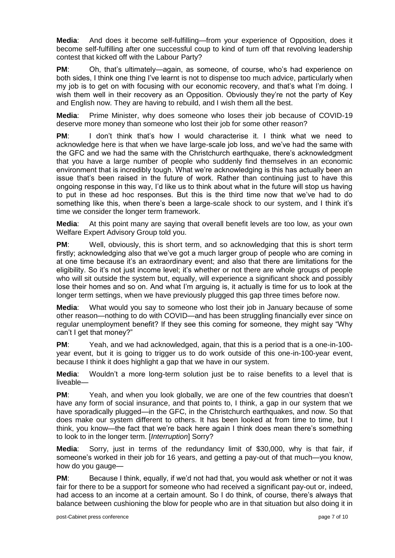**Media**: And does it become self-fulfilling—from your experience of Opposition, does it become self-fulfilling after one successful coup to kind of turn off that revolving leadership contest that kicked off with the Labour Party?

**PM**: Oh, that's ultimately—again, as someone, of course, who's had experience on both sides, I think one thing I've learnt is not to dispense too much advice, particularly when my job is to get on with focusing with our economic recovery, and that's what I'm doing. I wish them well in their recovery as an Opposition. Obviously they're not the party of Key and English now. They are having to rebuild, and I wish them all the best.

**Media**: Prime Minister, why does someone who loses their job because of COVID-19 deserve more money than someone who lost their job for some other reason?

**PM**: I don't think that's how I would characterise it. I think what we need to acknowledge here is that when we have large-scale job loss, and we've had the same with the GFC and we had the same with the Christchurch earthquake, there's acknowledgment that you have a large number of people who suddenly find themselves in an economic environment that is incredibly tough. What we're acknowledging is this has actually been an issue that's been raised in the future of work. Rather than continuing just to have this ongoing response in this way, I'd like us to think about what in the future will stop us having to put in these ad hoc responses. But this is the third time now that we've had to do something like this, when there's been a large-scale shock to our system, and I think it's time we consider the longer term framework.

**Media**: At this point many are saying that overall benefit levels are too low, as your own Welfare Expert Advisory Group told you.

**PM:** Well, obviously, this is short term, and so acknowledging that this is short term firstly; acknowledging also that we've got a much larger group of people who are coming in at one time because it's an extraordinary event; and also that there are limitations for the eligibility. So it's not just income level; it's whether or not there are whole groups of people who will sit outside the system but, equally, will experience a significant shock and possibly lose their homes and so on. And what I'm arguing is, it actually is time for us to look at the longer term settings, when we have previously plugged this gap three times before now.

**Media**: What would you say to someone who lost their job in January because of some other reason—nothing to do with COVID—and has been struggling financially ever since on regular unemployment benefit? If they see this coming for someone, they might say "Why can't I get that money?"

**PM**: Yeah, and we had acknowledged, again, that this is a period that is a one-in-100 year event, but it is going to trigger us to do work outside of this one-in-100-year event. because I think it does highlight a gap that we have in our system.

**Media**: Wouldn't a more long-term solution just be to raise benefits to a level that is liveable—

**PM**: Yeah, and when you look globally, we are one of the few countries that doesn't have any form of social insurance, and that points to, I think, a gap in our system that we have sporadically plugged—in the GFC, in the Christchurch earthquakes, and now. So that does make our system different to others. It has been looked at from time to time, but I think, you know—the fact that we're back here again I think does mean there's something to look to in the longer term. [*Interruption*] Sorry?

**Media**: Sorry, just in terms of the redundancy limit of \$30,000, why is that fair, if someone's worked in their job for 16 years, and getting a pay-out of that much—you know, how do you gauge—

**PM**: Because I think, equally, if we'd not had that, you would ask whether or not it was fair for there to be a support for someone who had received a significant pay-out or, indeed, had access to an income at a certain amount. So I do think, of course, there's always that balance between cushioning the blow for people who are in that situation but also doing it in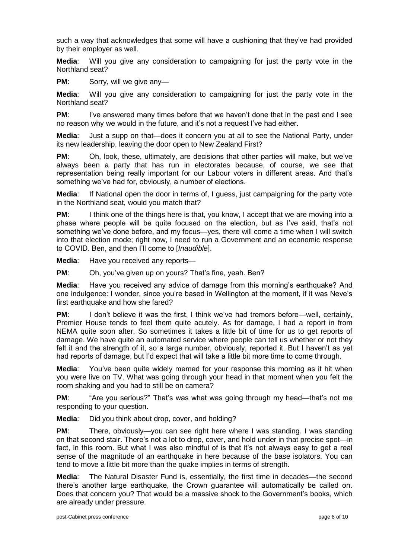such a way that acknowledges that some will have a cushioning that they've had provided by their employer as well.

**Media**: Will you give any consideration to campaigning for just the party vote in the Northland seat?

**PM:** Sorry, will we give any-

**Media**: Will you give any consideration to campaigning for just the party vote in the Northland seat?

**PM:** I've answered many times before that we haven't done that in the past and I see no reason why we would in the future, and it's not a request I've had either.

**Media**: Just a supp on that—does it concern you at all to see the National Party, under its new leadership, leaving the door open to New Zealand First?

**PM**: Oh, look, these, ultimately, are decisions that other parties will make, but we've always been a party that has run in electorates because, of course, we see that representation being really important for our Labour voters in different areas. And that's something we've had for, obviously, a number of elections.

**Media**: If National open the door in terms of, I guess, just campaigning for the party vote in the Northland seat, would you match that?

**PM:** I think one of the things here is that, you know, I accept that we are moving into a phase where people will be quite focused on the election, but as I've said, that's not something we've done before, and my focus—yes, there will come a time when I will switch into that election mode; right now, I need to run a Government and an economic response to COVID. Ben, and then I'll come to [*Inaudible*].

**Media**: Have you received any reports—

**PM**: Oh, you've given up on yours? That's fine, yeah. Ben?

**Media**: Have you received any advice of damage from this morning's earthquake? And one indulgence: I wonder, since you're based in Wellington at the moment, if it was Neve's first earthquake and how she fared?

**PM:** I don't believe it was the first. I think we've had tremors before—well, certainly, Premier House tends to feel them quite acutely. As for damage, I had a report in from NEMA quite soon after. So sometimes it takes a little bit of time for us to get reports of damage. We have quite an automated service where people can tell us whether or not they felt it and the strength of it, so a large number, obviously, reported it. But I haven't as yet had reports of damage, but I'd expect that will take a little bit more time to come through.

**Media**: You've been quite widely memed for your response this morning as it hit when you were live on TV. What was going through your head in that moment when you felt the room shaking and you had to still be on camera?

**PM**: "Are you serious?" That's was what was going through my head—that's not me responding to your question.

**Media**: Did you think about drop, cover, and holding?

**PM:** There, obviously—you can see right here where I was standing. I was standing on that second stair. There's not a lot to drop, cover, and hold under in that precise spot—in fact, in this room. But what I was also mindful of is that it's not always easy to get a real sense of the magnitude of an earthquake in here because of the base isolators. You can tend to move a little bit more than the quake implies in terms of strength.

**Media**: The Natural Disaster Fund is, essentially, the first time in decades—the second there's another large earthquake, the Crown guarantee will automatically be called on. Does that concern you? That would be a massive shock to the Government's books, which are already under pressure.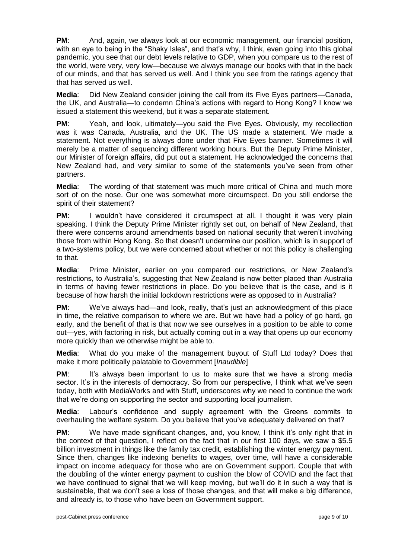**PM**: And, again, we always look at our economic management, our financial position, with an eye to being in the "Shaky Isles", and that's why, I think, even going into this global pandemic, you see that our debt levels relative to GDP, when you compare us to the rest of the world, were very, very low—because we always manage our books with that in the back of our minds, and that has served us well. And I think you see from the ratings agency that that has served us well.

**Media**: Did New Zealand consider joining the call from its Five Eyes partners—Canada, the UK, and Australia—to condemn China's actions with regard to Hong Kong? I know we issued a statement this weekend, but it was a separate statement.

**PM:** Yeah, and look, ultimately—you said the Five Eyes. Obviously, my recollection was it was Canada, Australia, and the UK. The US made a statement. We made a statement. Not everything is always done under that Five Eyes banner. Sometimes it will merely be a matter of sequencing different working hours. But the Deputy Prime Minister, our Minister of foreign affairs, did put out a statement. He acknowledged the concerns that New Zealand had, and very similar to some of the statements you've seen from other partners.

**Media**: The wording of that statement was much more critical of China and much more sort of on the nose. Our one was somewhat more circumspect. Do you still endorse the spirit of their statement?

**PM:** I wouldn't have considered it circumspect at all. I thought it was very plain speaking. I think the Deputy Prime Minister rightly set out, on behalf of New Zealand, that there were concerns around amendments based on national security that weren't involving those from within Hong Kong. So that doesn't undermine our position, which is in support of a two-systems policy, but we were concerned about whether or not this policy is challenging to that.

**Media**: Prime Minister, earlier on you compared our restrictions, or New Zealand's restrictions, to Australia's, suggesting that New Zealand is now better placed than Australia in terms of having fewer restrictions in place. Do you believe that is the case, and is it because of how harsh the initial lockdown restrictions were as opposed to in Australia?

**PM:** We've always had—and look, really, that's just an acknowledgment of this place in time, the relative comparison to where we are. But we have had a policy of go hard, go early, and the benefit of that is that now we see ourselves in a position to be able to come out—yes, with factoring in risk, but actually coming out in a way that opens up our economy more quickly than we otherwise might be able to.

**Media**: What do you make of the management buyout of Stuff Ltd today? Does that make it more politically palatable to Government [*Inaudible*]

**PM:** It's always been important to us to make sure that we have a strong media sector. It's in the interests of democracy. So from our perspective, I think what we've seen today, both with MediaWorks and with Stuff, underscores why we need to continue the work that we're doing on supporting the sector and supporting local journalism.

**Media**: Labour's confidence and supply agreement with the Greens commits to overhauling the welfare system. Do you believe that you've adequately delivered on that?

**PM:** We have made significant changes, and, you know, I think it's only right that in the context of that question, I reflect on the fact that in our first 100 days, we saw a \$5.5 billion investment in things like the family tax credit, establishing the winter energy payment. Since then, changes like indexing benefits to wages, over time, will have a considerable impact on income adequacy for those who are on Government support. Couple that with the doubling of the winter energy payment to cushion the blow of COVID and the fact that we have continued to signal that we will keep moving, but we'll do it in such a way that is sustainable, that we don't see a loss of those changes, and that will make a big difference, and already is, to those who have been on Government support.